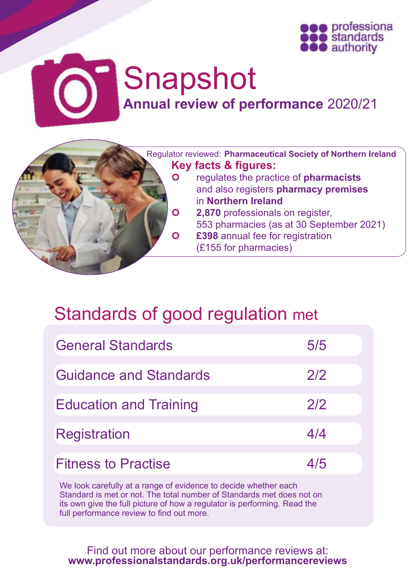



# Snapshot

**Annual review of performance** 2020/21

 Regulator reviewed: **Pharmaceutical Society of Northern Ireland Key facts & figures:**<br>**O** requiates the pract regulates the practice of **pharmacists**

- and also registers **pharmacy premises** in **Northern Ireland**
- **2,870** professionals on register, 553 pharmacies (as at 30 September 2021) **£398** annual fee for registration (£155 for pharmacies)

## Standards of good regulation met

| <b>General Standards</b>      | 5/5 |  |
|-------------------------------|-----|--|
| <b>Guidance and Standards</b> | 2/2 |  |
| <b>Education and Training</b> | 2/2 |  |
| <b>Registration</b>           | 4/4 |  |
| <b>Fitness to Practise</b>    | 4/5 |  |

We look carefully at a range of evidence to decide whether each Standard is met or not. The total number of Standards met does not on its own give the full picture of how a regulator is performing. Read the full performance review to find out more.

Find out more about our performance reviews at: **[www.professionalstandards.org.uk/performancereviews](http://www.professionalstandards.org.uk/performancereviews)**